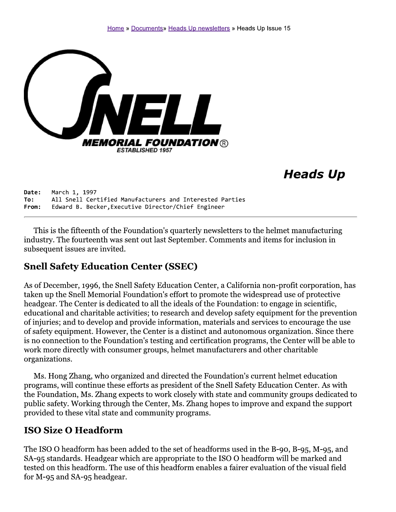

# **Heads Up**

Date: March 1, 1997 All Snell Certified Manufacturers and Interested Parties To: Edward B. Becker, Executive Director/Chief Engineer From:

This is the fifteenth of the Foundation's quarterly newsletters to the helmet manufacturing industry. The fourteenth was sent out last September. Comments and items for inclusion in subsequent issues are invited.

### **Snell Safety Education Center (SSEC)**

As of December, 1996, the Snell Safety Education Center, a California non-profit corporation, has taken up the Snell Memorial Foundation's effort to promote the widespread use of protective headgear. The Center is dedicated to all the ideals of the Foundation: to engage in scientific, educational and charitable activities; to research and develop safety equipment for the prevention of injuries; and to develop and provide information, materials and services to encourage the use of safety equipment. However, the Center is a distinct and autonomous organization. Since there is no connection to the Foundation's testing and certification programs, the Center will be able to work more directly with consumer groups, helmet manufacturers and other charitable organizations.

Ms. Hong Zhang, who organized and directed the Foundation's current helmet education programs, will continue these efforts as president of the Snell Safety Education Center. As with the Foundation, Ms. Zhang expects to work closely with state and community groups dedicated to public safety. Working through the Center, Ms. Zhang hopes to improve and expand the support provided to these vital state and community programs.

### **ISO Size O Headform**

The ISO O headform has been added to the set of headforms used in the B-90, B-95, M-95, and SA-95 standards. Headgear which are appropriate to the ISO O headform will be marked and tested on this headform. The use of this headform enables a fairer evaluation of the visual field for M-95 and SA-95 headgear.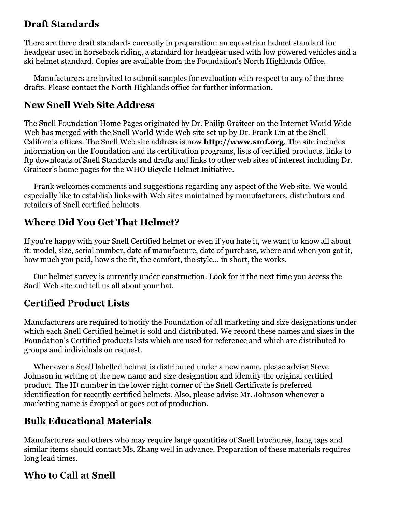# **Draft Standards**

There are three draft standards currently in preparation: an equestrian helmet standard for headgear used in horseback riding, a standard for headgear used with low powered vehicles and a ski helmet standard. Copies are available from the Foundation's North Highlands Office.

Manufacturers are invited to submit samples for evaluation with respect to any of the three drafts. Please contact the North Highlands office for further information.

## **New Snell Web Site Address**

The Snell Foundation Home Pages originated by Dr. Philip Graitcer on the Internet World Wide Web has merged with the Snell World Wide Web site set up by Dr. Frank Lin at the Snell California offices. The Snell Web site address is now **http://www.smf.org**. The site includes information on the Foundation and its certification programs, lists of certified products, links to ftp downloads of Snell Standards and drafts and links to other web sites of interest including Dr. Graitcer's home pages for the WHO Bicycle Helmet Initiative.

Frank welcomes comments and suggestions regarding any aspect of the Web site. We would especially like to establish links with Web sites maintained by manufacturers, distributors and retailers of Snell certified helmets.

# **Where Did You Get That Helmet?**

If you're happy with your Snell Certified helmet or even if you hate it, we want to know all about it: model, size, serial number, date of manufacture, date of purchase, where and when you got it, how much you paid, how's the fit, the comfort, the style... in short, the works.

Our helmet survey is currently under construction. Look for it the next time you access the Snell Web site and tell us all about your hat.

## **Certified Product Lists**

Manufacturers are required to notify the Foundation of all marketing and size designations under which each Snell Certified helmet is sold and distributed. We record these names and sizes in the Foundation's Certified products lists which are used for reference and which are distributed to groups and individuals on request.

Whenever a Snell labelled helmet is distributed under a new name, please advise Steve Johnson in writing of the new name and size designation and identify the original certified product. The ID number in the lower right corner of the Snell Certificate is preferred identification for recently certified helmets. Also, please advise Mr. Johnson whenever a marketing name is dropped or goes out of production.

## **Bulk Educational Materials**

Manufacturers and others who may require large quantities of Snell brochures, hang tags and similar items should contact Ms. Zhang well in advance. Preparation of these materials requires long lead times.

## **Who to Call at Snell**